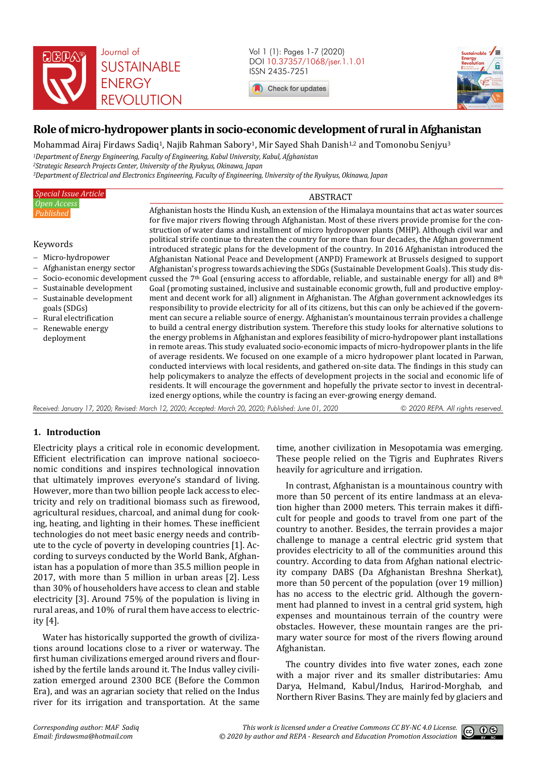

Vol 1 (1): Pages 1-7 (2020) DOI 10.37357/1068/jser.1.1.01 ISSN 2435-7251

Check for updates



# **Role of micro-hydropower plants in socio-economic development of rural in Afghanistan**

Mohammad Airaj Firdaws Sadiq<sup>1</sup>, Najib Rahman Sabory<sup>1</sup>, Mir Sayed Shah Danish<sup>1,2</sup> and Tomonobu Senjyu<sup>3</sup> *Department of Energy Engineering, Faculty of Engineering, Kabul University, Kabul, Afghanistan Strategic Research Projects Center, University of the Ryukyus, Okinawa, Japan Department of Electrical and Electronics Engineering, Faculty of Engineering, University of the Ryukyus, Okinawa, Japan* 

| <b>Special Issue Article</b>                                                                                                                                      | <b>ABSTRACT</b>                                                                                                                                                                                                                                                                                                                                                                                                                                                                                                                                                                                                                                                                                                                                                                                                                                                                                                                                                                                                                                                                                                                                                                                                                                               |                                   |  |
|-------------------------------------------------------------------------------------------------------------------------------------------------------------------|---------------------------------------------------------------------------------------------------------------------------------------------------------------------------------------------------------------------------------------------------------------------------------------------------------------------------------------------------------------------------------------------------------------------------------------------------------------------------------------------------------------------------------------------------------------------------------------------------------------------------------------------------------------------------------------------------------------------------------------------------------------------------------------------------------------------------------------------------------------------------------------------------------------------------------------------------------------------------------------------------------------------------------------------------------------------------------------------------------------------------------------------------------------------------------------------------------------------------------------------------------------|-----------------------------------|--|
| Open Access<br>Published<br>Keywords<br>- Micro-hydropower<br>- Afghanistan energy sector                                                                         | Afghanistan hosts the Hindu Kush, an extension of the Himalaya mountains that act as water sources<br>for five major rivers flowing through Afghanistan. Most of these rivers provide promise for the con-<br>struction of water dams and installment of micro hydropower plants (MHP). Although civil war and<br>political strife continue to threaten the country for more than four decades, the Afghan government<br>introduced strategic plans for the development of the country. In 2016 Afghanistan introduced the<br>Afghanistan National Peace and Development (ANPD) Framework at Brussels designed to support<br>Afghanistan's progress towards achieving the SDGs (Sustainable Development Goals). This study dis-<br>- Socio-economic development cussed the 7 <sup>th</sup> Goal (ensuring access to affordable, reliable, and sustainable energy for all) and 8 <sup>th</sup>                                                                                                                                                                                                                                                                                                                                                                 |                                   |  |
| - Sustainable development<br>- Sustainable development<br>goals (SDGs)<br>Rural electrification<br>$\overline{\phantom{0}}$<br>$-$ Renewable energy<br>deployment | Goal (promoting sustained, inclusive and sustainable economic growth, full and productive employ-<br>ment and decent work for all) alignment in Afghanistan. The Afghan government acknowledges its<br>responsibility to provide electricity for all of its citizens, but this can only be achieved if the govern-<br>ment can secure a reliable source of energy. Afghanistan's mountainous terrain provides a challenge<br>to build a central energy distribution system. Therefore this study looks for alternative solutions to<br>the energy problems in Afghanistan and explores feasibility of micro-hydropower plant installations<br>in remote areas. This study evaluated socio-economic impacts of micro-hydropower plants in the life<br>of average residents. We focused on one example of a micro hydropower plant located in Parwan,<br>conducted interviews with local residents, and gathered on-site data. The findings in this study can<br>help policymakers to analyze the effects of development projects in the social and economic life of<br>residents. It will encourage the government and hopefully the private sector to invest in decentral-<br>ized energy options, while the country is facing an ever-growing energy demand. |                                   |  |
|                                                                                                                                                                   | Received: January 17, 2020; Revised: March 12, 2020; Accepted: March 20, 2020; Published: June 01, 2020                                                                                                                                                                                                                                                                                                                                                                                                                                                                                                                                                                                                                                                                                                                                                                                                                                                                                                                                                                                                                                                                                                                                                       | © 2020 REPA. All rights reserved. |  |

# **1. Introduction**

Electricity plays a critical role in economic development. Efficient electrification can improve national socioeconomic conditions and inspires technological innovation that ultimately improves everyone's standard of living. However, more than two billion people lack access to electricity and rely on traditional biomass such as firewood, agricultural residues, charcoal, and animal dung for cooking, heating, and lighting in their homes. These inefficient technologies do not meet basic energy needs and contribute to the cycle of poverty in developing countries [1]. According to surveys conducted by the World Bank, Afghanistan has a population of more than 35.5 million people in 2017, with more than 5 million in urban areas [2]. Less than 30% of householders have access to clean and stable electricity [3]. Around 75% of the population is living in rural areas, and 10% of rural them have access to electricity [4].

Water has historically supported the growth of civilizations around locations close to a river or waterway. The first human civilizations emerged around rivers and flourished by the fertile lands around it. The Indus valley civilization emerged around 2300 BCE (Before the Common Era), and was an agrarian society that relied on the Indus river for its irrigation and transportation. At the same

time, another civilization in Mesopotamia was emerging. These people relied on the Tigris and Euphrates Rivers heavily for agriculture and irrigation.

In contrast, Afghanistan is a mountainous country with more than 50 percent of its entire landmass at an elevation higher than 2000 meters. This terrain makes it difficult for people and goods to travel from one part of the country to another. Besides, the terrain provides a major challenge to manage a central electric grid system that provides electricity to all of the communities around this country. According to data from Afghan national electricity company DABS (Da Afghanistan Breshna Sherkat), more than 50 percent of the population (over 19 million) has no access to the electric grid. Although the government had planned to invest in a central grid system, high expenses and mountainous terrain of the country were obstacles. However, these mountain ranges are the primary water source for most of the rivers flowing around Afghanistan.

The country divides into five water zones, each zone with a major river and its smaller distributaries: Amu Darya, Helmand, Kabul/Indus, Harirod-Morghab, and Northern River Basins. They are mainly fed by glaciers and

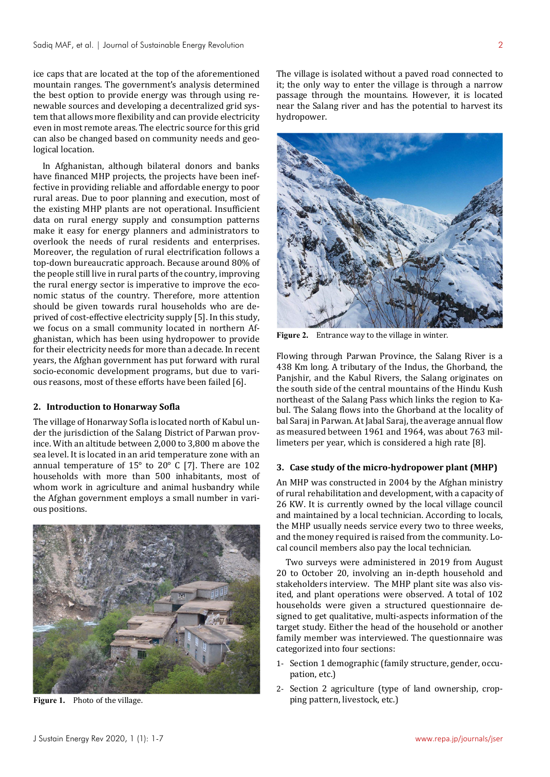ice caps that are located at the top of the aforementioned mountain ranges. The government's analysis determined the best option to provide energy was through using renewable sources and developing a decentralized grid system that allows more flexibility and can provide electricity even in most remote areas. The electric source for this grid can also be changed based on community needs and geological location.

In Afghanistan, although bilateral donors and banks have financed MHP projects, the projects have been ineffective in providing reliable and affordable energy to poor rural areas. Due to poor planning and execution, most of the existing MHP plants are not operational. Insufficient data on rural energy supply and consumption patterns make it easy for energy planners and administrators to overlook the needs of rural residents and enterprises. Moreover, the regulation of rural electrification follows a top-down bureaucratic approach. Because around 80% of the people still live in rural parts of the country, improving the rural energy sector is imperative to improve the economic status of the country. Therefore, more attention should be given towards rural households who are deprived of cost-effective electricity supply [5]. In this study, we focus on a small community located in northern Afghanistan, which has been using hydropower to provide for their electricity needs for more than a decade. In recent years, the Afghan government has put forward with rural socio-economic development programs, but due to various reasons, most of these efforts have been failed [6].

# **2. Introduction to Honarway Sofla**

The village of Honarway Sofla is located north of Kabul under the jurisdiction of the Salang District of Parwan province. With an altitude between 2,000 to 3,800 m above the sea level. It is located in an arid temperature zone with an annual temperature of 15° to 20° C [7]. There are 102 households with more than 500 inhabitants, most of whom work in agriculture and animal husbandry while the Afghan government employs a small number in various positions.



**Figure 1.** Photo of the village.

The village is isolated without a paved road connected to it; the only way to enter the village is through a narrow passage through the mountains. However, it is located near the Salang river and has the potential to harvest its hydropower.



**Figure 2.** Entrance way to the village in winter.

Flowing through Parwan Province, the Salang River is a 438 Km long. A tributary of the Indus, the Ghorband, the Panjshir, and the Kabul Rivers, the Salang originates on the south side of the central mountains of the Hindu Kush northeast of the Salang Pass which links the region to Kabul. The Salang flows into the Ghorband at the locality of bal Saraj in Parwan. At Jabal Saraj, the average annual flow as measured between 1961 and 1964, was about 763 millimeters per year, which is considered a high rate [8].

#### **3. Case study of the micro-hydropower plant (MHP)**

An MHP was constructed in 2004 by the Afghan ministry of rural rehabilitation and development, with a capacity of 26 KW. It is currently owned by the local village council and maintained by a local technician. According to locals, the MHP usually needs service every two to three weeks, and the money required is raised from the community. Local council members also pay the local technician.

Two surveys were administered in 2019 from August 20 to October 20, involving an in-depth household and stakeholders interview. The MHP plant site was also visited, and plant operations were observed. A total of 102 households were given a structured questionnaire designed to get qualitative, multi-aspects information of the target study. Either the head of the household or another family member was interviewed. The questionnaire was categorized into four sections:

- 1- Section 1 demographic (family structure, gender, occupation, etc.)
- 2- Section 2 agriculture (type of land ownership, cropping pattern, livestock, etc.)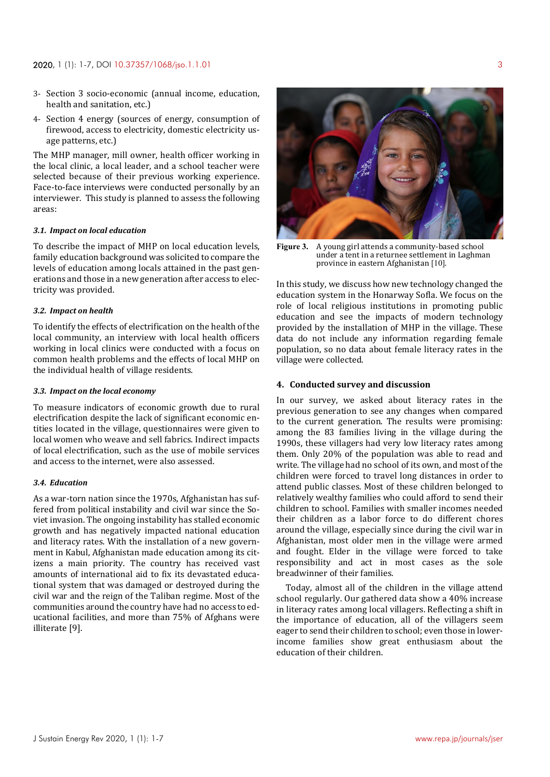- 3- Section 3 socio-economic (annual income, education, health and sanitation, etc.)
- 4- Section 4 energy (sources of energy, consumption of firewood, access to electricity, domestic electricity usage patterns, etc.)

The MHP manager, mill owner, health officer working in the local clinic, a local leader, and a school teacher were selected because of their previous working experience. Face-to-face interviews were conducted personally by an interviewer. This study is planned to assess the following areas:

# *3.1. Impact on local education*

To describe the impact of MHP on local education levels, family education background was solicited to compare the levels of education among locals attained in the past generations and those in a new generation after access to electricity was provided.

### *3.2. Impact on health*

To identify the effects of electrification on the health of the local community, an interview with local health officers working in local clinics were conducted with a focus on common health problems and the effects of local MHP on the individual health of village residents.

## *3.3. Impact on the local economy*

To measure indicators of economic growth due to rural electrification despite the lack of significant economic entities located in the village, questionnaires were given to local women who weave and sell fabrics. Indirect impacts of local electrification, such as the use of mobile services and access to the internet, were also assessed.

# *3.4. Education*

As a war-torn nation since the 1970s, Afghanistan has suffered from political instability and civil war since the Soviet invasion. The ongoing instability has stalled economic growth and has negatively impacted national education and literacy rates. With the installation of a new government in Kabul, Afghanistan made education among its citizens a main priority. The country has received vast amounts of international aid to fix its devastated educational system that was damaged or destroyed during the civil war and the reign of the Taliban regime. Most of the communities around the country have had no access to educational facilities, and more than 75% of Afghans were illiterate [9].



**Figure 3.** A young girl attends a community-based school under a tent in a returnee settlement in Laghman province in eastern Afghanistan [10].

In this study, we discuss how new technology changed the education system in the Honarway Sofla. We focus on the role of local religious institutions in promoting public education and see the impacts of modern technology provided by the installation of MHP in the village. These data do not include any information regarding female population, so no data about female literacy rates in the village were collected.

# **4. Conducted survey and discussion**

In our survey, we asked about literacy rates in the previous generation to see any changes when compared to the current generation. The results were promising: among the 83 families living in the village during the 1990s, these villagers had very low literacy rates among them. Only 20% of the population was able to read and write. The village had no school of its own, and most of the children were forced to travel long distances in order to attend public classes. Most of these children belonged to relatively wealthy families who could afford to send their children to school. Families with smaller incomes needed their children as a labor force to do different chores around the village, especially since during the civil war in Afghanistan, most older men in the village were armed and fought. Elder in the village were forced to take responsibility and act in most cases as the sole breadwinner of their families.

Today, almost all of the children in the village attend school regularly. Our gathered data show a 40% increase in literacy rates among local villagers. Reflecting a shift in the importance of education, all of the villagers seem eager to send their children to school; even those in lowerincome families show great enthusiasm about the education of their children.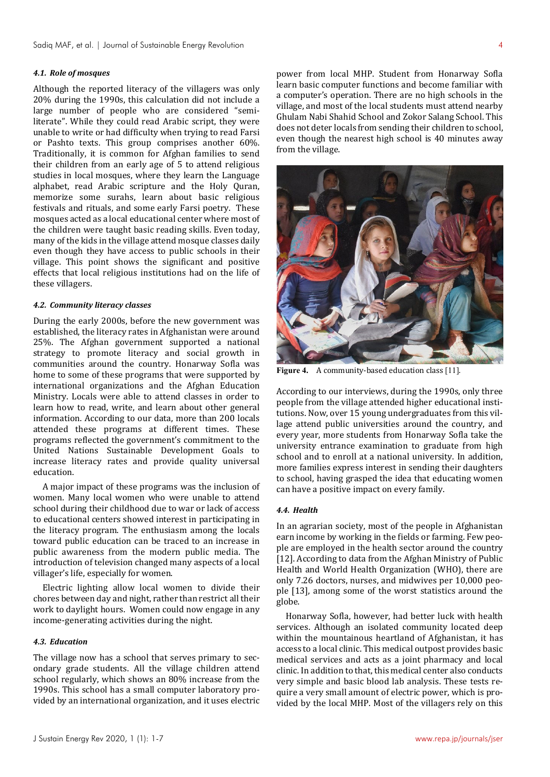# *4.1. Role of mosques*

Although the reported literacy of the villagers was only 20% during the 1990s, this calculation did not include a large number of people who are considered "semiliterate". While they could read Arabic script, they were unable to write or had difficulty when trying to read Farsi or Pashto texts. This group comprises another 60%. Traditionally, it is common for Afghan families to send their children from an early age of 5 to attend religious studies in local mosques, where they learn the Language alphabet, read Arabic scripture and the Holy Quran, memorize some surahs, learn about basic religious festivals and rituals, and some early Farsi poetry. These mosques acted as a local educational center where most of the children were taught basic reading skills. Even today, many of the kids in the village attend mosque classes daily even though they have access to public schools in their village. This point shows the significant and positive effects that local religious institutions had on the life of these villagers.

#### *4.2. Community literacy classes*

During the early 2000s, before the new government was established, the literacy rates in Afghanistan were around 25%. The Afghan government supported a national strategy to promote literacy and social growth in communities around the country. Honarway Sofla was home to some of these programs that were supported by international organizations and the Afghan Education Ministry. Locals were able to attend classes in order to learn how to read, write, and learn about other general information. According to our data, more than 200 locals attended these programs at different times. These programs reflected the government's commitment to the United Nations Sustainable Development Goals to increase literacy rates and provide quality universal education.

A major impact of these programs was the inclusion of women. Many local women who were unable to attend school during their childhood due to war or lack of access to educational centers showed interest in participating in the literacy program. The enthusiasm among the locals toward public education can be traced to an increase in public awareness from the modern public media. The introduction of television changed many aspects of a local villager's life, especially for women.

Electric lighting allow local women to divide their chores between day and night, rather than restrict all their work to daylight hours. Women could now engage in any income-generating activities during the night.

# *4.3. Education*

The village now has a school that serves primary to secondary grade students. All the village children attend school regularly, which shows an 80% increase from the 1990s. This school has a small computer laboratory provided by an international organization, and it uses electric

power from local MHP. Student from Honarway Sofla learn basic computer functions and become familiar with a computer's operation. There are no high schools in the village, and most of the local students must attend nearby Ghulam Nabi Shahid School and Zokor Salang School. This does not deter locals from sending their children to school, even though the nearest high school is 40 minutes away from the village.



**Figure 4.** A community-based education class [11].

According to our interviews, during the 1990s, only three people from the village attended higher educational institutions. Now, over 15 young undergraduates from this village attend public universities around the country, and every year, more students from Honarway Sofla take the university entrance examination to graduate from high school and to enroll at a national university. In addition, more families express interest in sending their daughters to school, having grasped the idea that educating women can have a positive impact on every family.

## *4.4. Health*

In an agrarian society, most of the people in Afghanistan earn income by working in the fields or farming. Few people are employed in the health sector around the country [12]. According to data from the Afghan Ministry of Public Health and World Health Organization (WHO), there are only 7.26 doctors, nurses, and midwives per 10,000 people [13], among some of the worst statistics around the globe.

Honarway Sofla, however, had better luck with health services. Although an isolated community located deep within the mountainous heartland of Afghanistan, it has access to a local clinic. This medical outpost provides basic medical services and acts as a joint pharmacy and local clinic. In addition to that, this medical center also conducts very simple and basic blood lab analysis. These tests require a very small amount of electric power, which is provided by the local MHP. Most of the villagers rely on this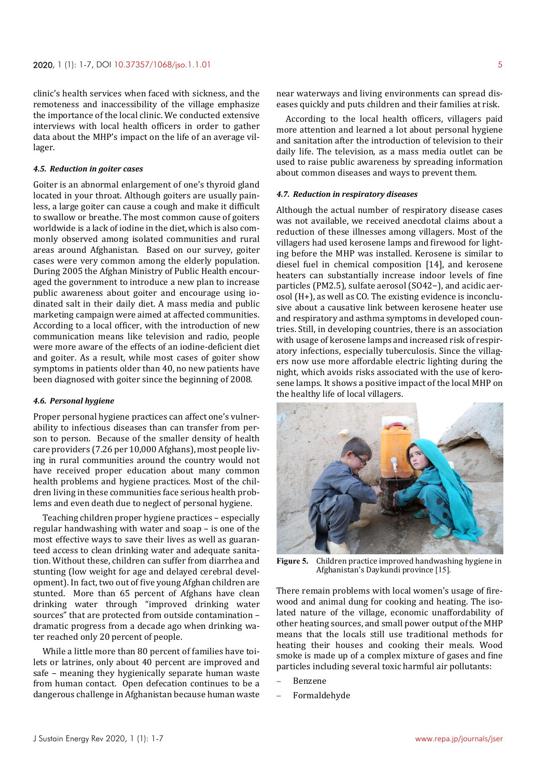clinic's health services when faced with sickness, and the remoteness and inaccessibility of the village emphasize the importance of the local clinic. We conducted extensive interviews with local health officers in order to gather data about the MHP's impact on the life of an average villager.

## *4.5. Reduction in goiter cases*

Goiter is an abnormal enlargement of one's thyroid gland located in your throat. Although goiters are usually painless, a large goiter can cause a cough and make it difficult to swallow or breathe. The most common cause of goiters worldwide is a lack of iodine in the diet, which is also commonly observed among isolated communities and rural areas around Afghanistan. Based on our survey, goiter cases were very common among the elderly population. During 2005 the Afghan Ministry of Public Health encouraged the government to introduce a new plan to increase public awareness about goiter and encourage using iodinated salt in their daily diet. A mass media and public marketing campaign were aimed at affected communities. According to a local officer, with the introduction of new communication means like television and radio, people were more aware of the effects of an iodine-deficient diet and goiter. As a result, while most cases of goiter show symptoms in patients older than 40, no new patients have been diagnosed with goiter since the beginning of 2008.

#### *4.6. Personal hygiene*

Proper personal hygiene practices can affect one's vulnerability to infectious diseases than can transfer from person to person. Because of the smaller density of health care providers (7.26 per 10,000 Afghans), most people living in rural communities around the country would not have received proper education about many common health problems and hygiene practices. Most of the children living in these communities face serious health problems and even death due to neglect of personal hygiene.

Teaching children proper hygiene practices – especially regular handwashing with water and soap – is one of the most effective ways to save their lives as well as guaranteed access to clean drinking water and adequate sanitation. Without these, children can suffer from diarrhea and stunting (low weight for age and delayed cerebral development). In fact, two out of five young Afghan children are stunted. More than 65 percent of Afghans have clean drinking water through "improved drinking water sources" that are protected from outside contamination – dramatic progress from a decade ago when drinking water reached only 20 percent of people.

While a little more than 80 percent of families have toilets or latrines, only about 40 percent are improved and safe – meaning they hygienically separate human waste from human contact. Open defecation continues to be a dangerous challenge in Afghanistan because human waste near waterways and living environments can spread diseases quickly and puts children and their families at risk.

According to the local health officers, villagers paid more attention and learned a lot about personal hygiene and sanitation after the introduction of television to their daily life. The television, as a mass media outlet can be used to raise public awareness by spreading information about common diseases and ways to prevent them.

#### *4.7. Reduction in respiratory diseases*

Although the actual number of respiratory disease cases was not available, we received anecdotal claims about a reduction of these illnesses among villagers. Most of the villagers had used kerosene lamps and firewood for lighting before the MHP was installed. Kerosene is similar to diesel fuel in chemical composition [14], and kerosene heaters can substantially increase indoor levels of fine particles (PM2.5), sulfate aerosol (SO42−), and acidic aerosol (H+), as well as CO. The existing evidence is inconclusive about a causative link between kerosene heater use and respiratory and asthma symptoms in developed countries. Still, in developing countries, there is an association with usage of kerosene lamps and increased risk of respiratory infections, especially tuberculosis. Since the villagers now use more affordable electric lighting during the night, which avoids risks associated with the use of kerosene lamps. It shows a positive impact of the local MHP on the healthy life of local villagers.



**Figure 5.** Children practice improved handwashing hygiene in Afghanistan's Daykundi province [15].

There remain problems with local women's usage of firewood and animal dung for cooking and heating. The isolated nature of the village, economic unaffordability of other heating sources, and small power output of the MHP means that the locals still use traditional methods for heating their houses and cooking their meals. Wood smoke is made up of a complex mixture of gases and fine particles including several toxic harmful air pollutants:

- Benzene
- Formaldehyde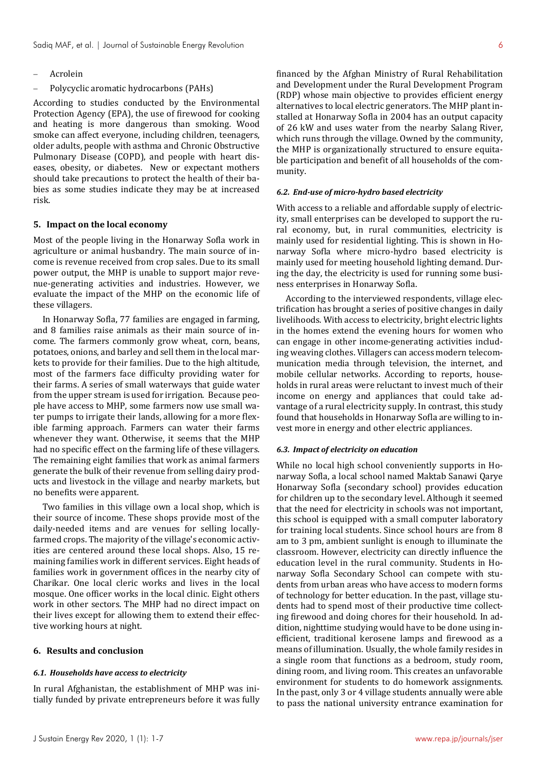- Acrolein
- Polycyclic aromatic hydrocarbons (PAHs)

According to studies conducted by the Environmental Protection Agency (EPA), the use of firewood for cooking and heating is more dangerous than smoking. Wood smoke can affect everyone, including children, teenagers, older adults, people with asthma and Chronic Obstructive Pulmonary Disease (COPD), and people with heart diseases, obesity, or diabetes. New or expectant mothers should take precautions to protect the health of their babies as some studies indicate they may be at increased risk.

#### **5. Impact on the local economy**

Most of the people living in the Honarway Sofla work in agriculture or animal husbandry. The main source of income is revenue received from crop sales. Due to its small power output, the MHP is unable to support major revenue-generating activities and industries. However, we evaluate the impact of the MHP on the economic life of these villagers.

In Honarway Sofla, 77 families are engaged in farming, and 8 families raise animals as their main source of income. The farmers commonly grow wheat, corn, beans, potatoes, onions, and barley and sell them in the local markets to provide for their families. Due to the high altitude, most of the farmers face difficulty providing water for their farms. A series of small waterways that guide water from the upper stream is used for irrigation. Because people have access to MHP, some farmers now use small water pumps to irrigate their lands, allowing for a more flexible farming approach. Farmers can water their farms whenever they want. Otherwise, it seems that the MHP had no specific effect on the farming life of these villagers. The remaining eight families that work as animal farmers generate the bulk of their revenue from selling dairy products and livestock in the village and nearby markets, but no benefits were apparent.

Two families in this village own a local shop, which is their source of income. These shops provide most of the daily-needed items and are venues for selling locallyfarmed crops. The majority of the village's economic activities are centered around these local shops. Also, 15 remaining families work in different services. Eight heads of families work in government offices in the nearby city of Charikar. One local cleric works and lives in the local mosque. One officer works in the local clinic. Eight others work in other sectors. The MHP had no direct impact on their lives except for allowing them to extend their effective working hours at night.

# **6. Results and conclusion**

#### *6.1. Households have access to electricity*

In rural Afghanistan, the establishment of MHP was initially funded by private entrepreneurs before it was fully

financed by the Afghan Ministry of Rural Rehabilitation and Development under the Rural Development Program (RDP) whose main objective to provides efficient energy alternatives to local electric generators. The MHP plant installed at Honarway Sofla in 2004 has an output capacity of 26 kW and uses water from the nearby Salang River, which runs through the village. Owned by the community, the MHP is organizationally structured to ensure equitable participation and benefit of all households of the community.

## *6.2. End-use of micro-hydro based electricity*

With access to a reliable and affordable supply of electricity, small enterprises can be developed to support the rural economy, but, in rural communities, electricity is mainly used for residential lighting. This is shown in Honarway Sofla where micro-hydro based electricity is mainly used for meeting household lighting demand. During the day, the electricity is used for running some business enterprises in Honarway Sofla.

According to the interviewed respondents, village electrification has brought a series of positive changes in daily livelihoods. With access to electricity, bright electric lights in the homes extend the evening hours for women who can engage in other income-generating activities including weaving clothes. Villagers can access modern telecommunication media through television, the internet, and mobile cellular networks. According to reports, households in rural areas were reluctant to invest much of their income on energy and appliances that could take advantage of a rural electricity supply. In contrast, this study found that households in Honarway Sofla are willing to invest more in energy and other electric appliances.

#### *6.3. Impact of electricity on education*

While no local high school conveniently supports in Honarway Sofla, a local school named Maktab Sanawi Qarye Honarway Sofla (secondary school) provides education for children up to the secondary level. Although it seemed that the need for electricity in schools was not important, this school is equipped with a small computer laboratory for training local students. Since school hours are from 8 am to 3 pm, ambient sunlight is enough to illuminate the classroom. However, electricity can directly influence the education level in the rural community. Students in Honarway Sofla Secondary School can compete with students from urban areas who have access to modern forms of technology for better education. In the past, village students had to spend most of their productive time collecting firewood and doing chores for their household. In addition, nighttime studying would have to be done using inefficient, traditional kerosene lamps and firewood as a means of illumination. Usually, the whole family resides in a single room that functions as a bedroom, study room, dining room, and living room. This creates an unfavorable environment for students to do homework assignments. In the past, only 3 or 4 village students annually were able to pass the national university entrance examination for